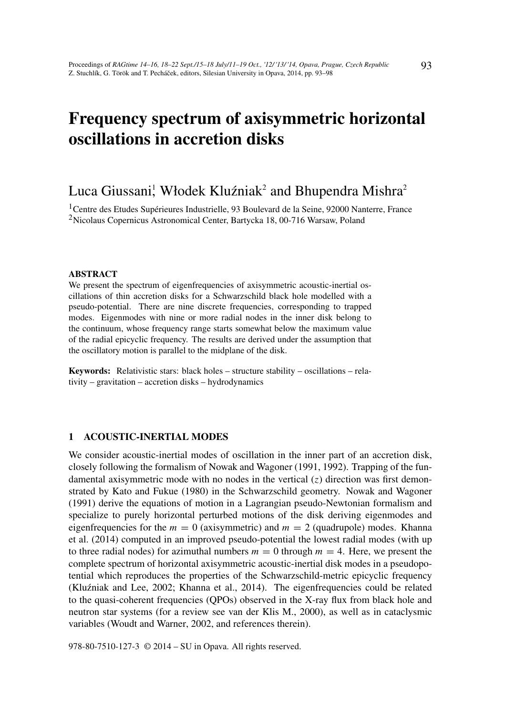# Frequency spectrum of axisymmetric horizontal oscillations in accretion disks

## Luca Giussani, Włodek Kluźniak<sup>2</sup> and Bhupendra Mishra<sup>2</sup>

<sup>1</sup>Centre des Etudes Supérieures Industrielle, 93 Boulevard de la Seine, 92000 Nanterre, France <sup>2</sup>Nicolaus Copernicus Astronomical Center, Bartycka 18, 00-716 Warsaw, Poland

#### ABSTRACT

We present the spectrum of eigenfrequencies of axisymmetric acoustic-inertial oscillations of thin accretion disks for a Schwarzschild black hole modelled with a pseudo-potential. There are nine discrete frequencies, corresponding to trapped modes. Eigenmodes with nine or more radial nodes in the inner disk belong to the continuum, whose frequency range starts somewhat below the maximum value of the radial epicyclic frequency. The results are derived under the assumption that the oscillatory motion is parallel to the midplane of the disk.

Keywords: Relativistic stars: black holes – structure stability – oscillations – relativity – gravitation – accretion disks – hydrodynamics

### 1 ACOUSTIC-INERTIAL MODES

We consider acoustic-inertial modes of oscillation in the inner part of an accretion disk, closely following the formalism of Nowak and Wagoner (1991, 1992). Trapping of the fundamental axisymmetric mode with no nodes in the vertical (*z*) direction was first demonstrated by Kato and Fukue (1980) in the Schwarzschild geometry. Nowak and Wagoner (1991) derive the equations of motion in a Lagrangian pseudo-Newtonian formalism and specialize to purely horizontal perturbed motions of the disk deriving eigenmodes and eigenfrequencies for the  $m = 0$  (axisymmetric) and  $m = 2$  (quadrupole) modes. Khanna et al. (2014) computed in an improved pseudo-potential the lowest radial modes (with up to three radial nodes) for azimuthal numbers  $m = 0$  through  $m = 4$ . Here, we present the complete spectrum of horizontal axisymmetric acoustic-inertial disk modes in a pseudopotential which reproduces the properties of the Schwarzschild-metric epicyclic frequency (Kluźniak and Lee, 2002; Khanna et al., 2014). The eigenfrequencies could be related to the quasi-coherent frequencies (QPOs) observed in the X-ray flux from black hole and neutron star systems (for a review see van der Klis M., 2000), as well as in cataclysmic variables (Woudt and Warner, 2002, and references therein).

978-80-7510-127-3 © 2014 – SU in Opava. All rights reserved.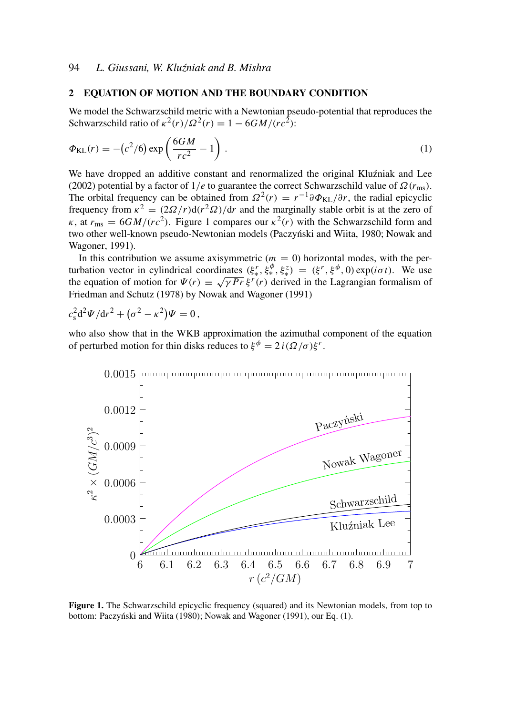#### 2 EQUATION OF MOTION AND THE BOUNDARY CONDITION

We model the Schwarzschild metric with a Newtonian pseudo-potential that reproduces the Schwarzschild ratio of  $\kappa^2(r)/\Omega^2(r) = 1 - 6GM/(rc^2)$ :

$$
\Phi_{\text{KL}}(r) = -\left(c^2/6\right) \exp\left(\frac{6GM}{rc^2} - 1\right). \tag{1}
$$

We have dropped an additive constant and renormalized the original Kluzniak and Lee (2002) potential by a factor of  $1/e$  to guarantee the correct Schwarzschild value of  $\Omega(r_{\text{ms}})$ . The orbital frequency can be obtained from  $\Omega^2(r) = r^{-1} \partial \Phi_{KL}/\partial r$ , the radial epicyclic frequency from  $\kappa^2 = (2\Omega/r) d(r^2\Omega)/dr$  and the marginally stable orbit is at the zero of  $\kappa$ , at  $r_{\rm ms} = 6GM/(rc^2)$ . Figure 1 compares our  $\kappa^2(r)$  with the Schwarzschild form and two other well-known pseudo-Newtonian models (Paczyński and Wiita, 1980; Nowak and Wagoner, 1991).

In this contribution we assume axisymmetric  $(m = 0)$  horizontal modes, with the perturbation vector in cylindrical coordinates  $(\xi^r_*, \xi^{\phi}_*, \xi^z_*) = (\xi^r, \xi^{\phi}, 0) \exp(i\sigma t)$ . We use the equation of motion for  $\Psi(r) \equiv \sqrt{\gamma Pr} \xi^r(r)$  derived in the Lagrangian formalism of Friedman and Schutz (1978) by Nowak and Wagoner (1991)

 $c_s^2 d^2 \Psi/dr^2 + (\sigma^2 - \kappa^2) \Psi = 0$ ,

who also show that in the WKB approximation the azimuthal component of the equation of perturbed motion for thin disks reduces to  $\xi^{\phi} = 2 i (\Omega / \sigma) \xi^{r}$ .



Figure 1. The Schwarzschild epicyclic frequency (squared) and its Newtonian models, from top to bottom: Paczyński and Wiita (1980); Nowak and Wagoner (1991), our Eq. (1).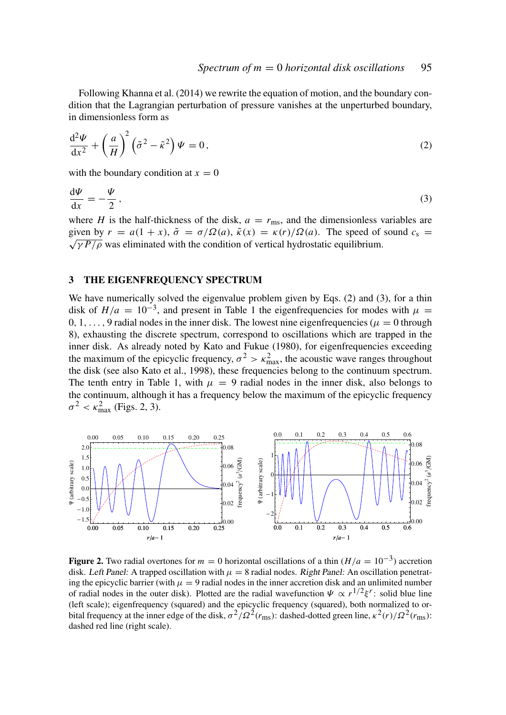Following Khanna et al. (2014) we rewrite the equation of motion, and the boundary condition that the Lagrangian perturbation of pressure vanishes at the unperturbed boundary, in dimensionless form as

$$
\frac{\mathrm{d}^2 \Psi}{\mathrm{d}x^2} + \left(\frac{a}{H}\right)^2 \left(\tilde{\sigma}^2 - \tilde{\kappa}^2\right) \Psi = 0, \qquad (2)
$$

with the boundary condition at  $x = 0$ 

$$
\frac{\mathrm{d}\Psi}{\mathrm{d}x} = -\frac{\Psi}{2},\tag{3}
$$

where *H* is the half-thickness of the disk,  $a = r_{\text{ms}}$ , and the dimensionless variables are given by  $r = a(1 + x)$ ,  $\tilde{\sigma} = \sigma/\Omega(a)$ ,  $\tilde{\kappa}(x) = \kappa(r)/\Omega(a)$ . The speed of sound  $c_s =$  $\sqrt{\gamma P/\rho}$  was eliminated with the condition of vertical hydrostatic equilibrium.

#### 3 THE EIGENFREQUENCY SPECTRUM

We have numerically solved the eigenvalue problem given by Eqs. (2) and (3), for a thin disk of  $H/a = 10^{-3}$ , and present in Table 1 the eigenfrequencies for modes with  $\mu =$ 0, 1, ..., 9 radial nodes in the inner disk. The lowest nine eigenfrequencies ( $\mu = 0$  through 8), exhausting the discrete spectrum, correspond to oscillations which are trapped in the inner disk. As already noted by Kato and Fukue (1980), for eigenfrequencies exceeding the maximum of the epicyclic frequency,  $\sigma^2 > \kappa_{\text{max}}^2$ , the acoustic wave ranges throughout the disk (see also Kato et al., 1998), these frequencies belong to the continuum spectrum. The tenth entry in Table 1, with  $\mu = 9$  radial nodes in the inner disk, also belongs to the continuum, although it has a frequency below the maximum of the epicyclic frequency  $\sigma^2 < \kappa_{\text{max}}^2$  (Figs. 2, 3).



Figure 2. Two radial overtones for  $m = 0$  horizontal oscillations of a thin  $(H/a = 10^{-3})$  accretion disk. Left Panel: A trapped oscillation with  $\mu = 8$  radial nodes. Right Panel: An oscillation penetrating the epicyclic barrier (with  $\mu = 9$  radial nodes in the inner accretion disk and an unlimited number of radial nodes in the outer disk). Plotted are the radial wavefunction  $\Psi \propto r^{1/2} \xi^r$ : solid blue line (left scale); eigenfrequency (squared) and the epicyclic frequency (squared), both normalized to orbital frequency at the inner edge of the disk,  $\sigma^2/\Omega^2(r_{\rm ms})$ : dashed-dotted green line,  $\kappa^2(r)/\Omega^2(r_{\rm ms})$ : dashed red line (right scale).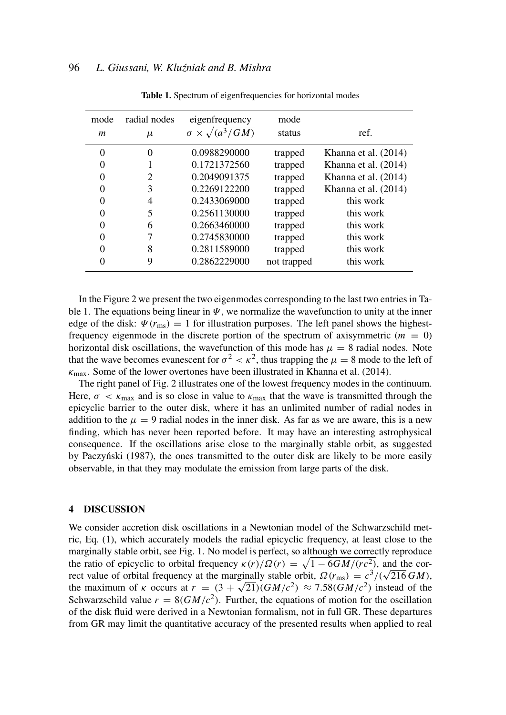| mode     | radial nodes | eigenfrequency                  | mode        |                      |
|----------|--------------|---------------------------------|-------------|----------------------|
| m        | $\mu$        | $\sigma \times \sqrt{(a^3/GM)}$ | status      | ref.                 |
| 0        | 0            | 0.0988290000                    | trapped     | Khanna et al. (2014) |
| $\Omega$ |              | 0.1721372560                    | trapped     | Khanna et al. (2014) |
|          | 2            | 0.2049091375                    | trapped     | Khanna et al. (2014) |
| $\Omega$ | 3            | 0.2269122200                    | trapped     | Khanna et al. (2014) |
| $\Omega$ | 4            | 0.2433069000                    | trapped     | this work            |
| $\Omega$ | 5            | 0.2561130000                    | trapped     | this work            |
| $\Omega$ | 6            | 0.2663460000                    | trapped     | this work            |
| $\Omega$ |              | 0.2745830000                    | trapped     | this work            |
| $\Omega$ | 8            | 0.2811589000                    | trapped     | this work            |
|          | 9            | 0.2862229000                    | not trapped | this work            |

Table 1. Spectrum of eigenfrequencies for horizontal modes

In the Figure 2 we present the two eigenmodes corresponding to the last two entries in Table 1. The equations being linear in  $\Psi$ , we normalize the wavefunction to unity at the inner edge of the disk:  $\Psi(r_{\text{ms}}) = 1$  for illustration purposes. The left panel shows the highestfrequency eigenmode in the discrete portion of the spectrum of axisymmetric  $(m = 0)$ horizontal disk oscillations, the wavefunction of this mode has  $\mu = 8$  radial nodes. Note that the wave becomes evanescent for  $\sigma^2 < \kappa^2$ , thus trapping the  $\mu = 8$  mode to the left of  $\kappa_{\text{max}}$ . Some of the lower overtones have been illustrated in Khanna et al. (2014).

The right panel of Fig. 2 illustrates one of the lowest frequency modes in the continuum. Here,  $\sigma < \kappa_{\text{max}}$  and is so close in value to  $\kappa_{\text{max}}$  that the wave is transmitted through the epicyclic barrier to the outer disk, where it has an unlimited number of radial nodes in addition to the  $\mu = 9$  radial nodes in the inner disk. As far as we are aware, this is a new finding, which has never been reported before. It may have an interesting astrophysical consequence. If the oscillations arise close to the marginally stable orbit, as suggested by Paczyński (1987), the ones transmitted to the outer disk are likely to be more easily observable, in that they may modulate the emission from large parts of the disk.

#### 4 DISCUSSION

We consider accretion disk oscillations in a Newtonian model of the Schwarzschild metric, Eq. (1), which accurately models the radial epicyclic frequency, at least close to the marginally stable orbit, see Fig. 1. No model is perfect, so although we correctly reproduce the ratio of epicyclic to orbital frequency  $\kappa(r)/\Omega(r) = \sqrt{1 - 6GM/(r c^2)}$ , and the corthe ratio of epicyclic to orbital frequency  $\kappa(r)/\Omega(r) = \sqrt{1-6GM/(r c^2)}$ , and the correct value of orbital frequency at the marginally stable orbit,  $\Omega(r_{\rm ms}) = c^3/(\sqrt{216}GM)$ , the maximum of *k* occurs at  $r = (3 + \sqrt{21})(GM/c^2) \approx 7.58(GM/c^2)$  instead of the Schwarzschild value  $r = 8(GM/c^2)$ . Further, the equations of motion for the oscillation of the disk fluid were derived in a Newtonian formalism, not in full GR. These departures from GR may limit the quantitative accuracy of the presented results when applied to real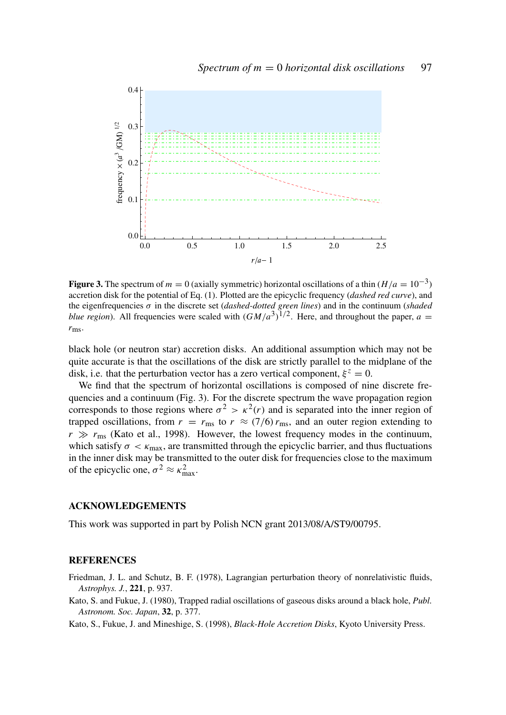

**Figure 3.** The spectrum of  $m = 0$  (axially symmetric) horizontal oscillations of a thin  $(H/a = 10^{-3})$ accretion disk for the potential of Eq. (1). Plotted are the epicyclic frequency (*dashed red curve*), and the eigenfrequencies σ in the discrete set (*dashed-dotted green lines*) and in the continuum (*shaded blue region*). All frequencies were scaled with  $(GM/a^3)^{1/2}$ . Here, and throughout the paper,  $a =$ *r*ms.

black hole (or neutron star) accretion disks. An additional assumption which may not be quite accurate is that the oscillations of the disk are strictly parallel to the midplane of the disk, i.e. that the perturbation vector has a zero vertical component,  $\xi^z = 0$ .

We find that the spectrum of horizontal oscillations is composed of nine discrete frequencies and a continuum (Fig. 3). For the discrete spectrum the wave propagation region corresponds to those regions where  $\sigma^2 > \kappa^2(r)$  and is separated into the inner region of trapped oscillations, from  $r = r_{\text{ms}}$  to  $r \approx (7/6) r_{\text{ms}}$ , and an outer region extending to  $r \gg r_{\text{ms}}$  (Kato et al., 1998). However, the lowest frequency modes in the continuum, which satisfy  $\sigma < \kappa_{\text{max}}$ , are transmitted through the epicyclic barrier, and thus fluctuations in the inner disk may be transmitted to the outer disk for frequencies close to the maximum of the epicyclic one,  $\sigma^2 \approx \kappa_{\text{max}}^2$ .

#### ACKNOWLEDGEMENTS

This work was supported in part by Polish NCN grant 2013/08/A/ST9/00795.

#### **REFERENCES**

- Friedman, J. L. and Schutz, B. F. (1978), Lagrangian perturbation theory of nonrelativistic fluids, *Astrophys. J.*, 221, p. 937.
- Kato, S. and Fukue, J. (1980), Trapped radial oscillations of gaseous disks around a black hole, *Publ. Astronom. Soc. Japan*, 32, p. 377.

Kato, S., Fukue, J. and Mineshige, S. (1998), *Black-Hole Accretion Disks*, Kyoto University Press.